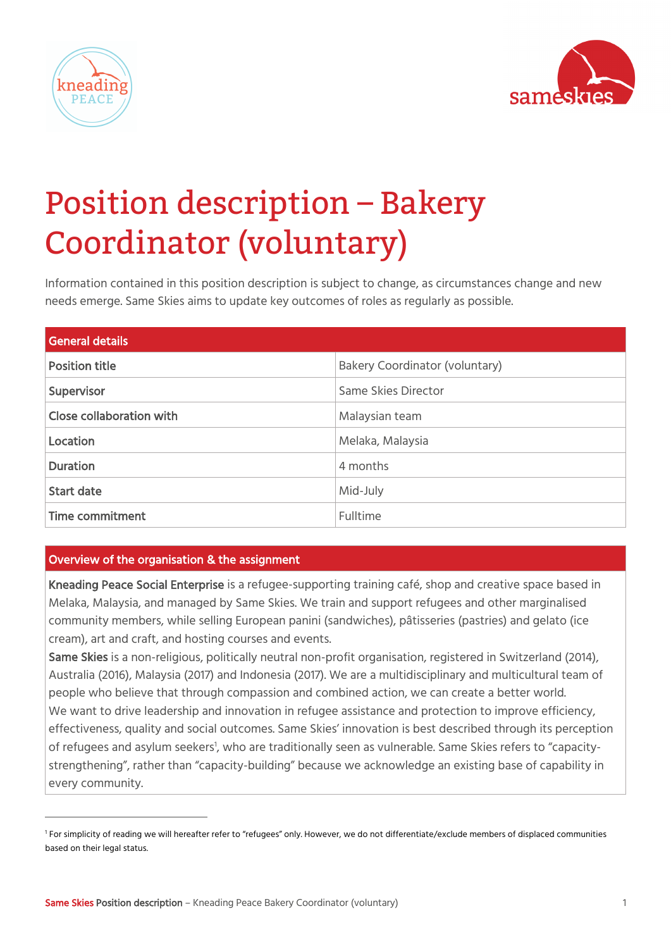



# Position description – Bakery Coordinator (voluntary)

Information contained in this position description is subject to change, as circumstances change and new needs emerge. Same Skies aims to update key outcomes of roles as regularly as possible.

| <b>General details</b>   |                                |
|--------------------------|--------------------------------|
| <b>Position title</b>    | Bakery Coordinator (voluntary) |
| Supervisor               | Same Skies Director            |
| Close collaboration with | Malaysian team                 |
| Location                 | Melaka, Malaysia               |
| <b>Duration</b>          | 4 months                       |
| <b>Start date</b>        | Mid-July                       |
| Time commitment          | Fulltime                       |

# Overview of the organisation & the assignment

Kneading Peace Social Enterprise is a refugee-supporting training café, shop and creative space based in Melaka, Malaysia, and managed by Same Skies. We train and support refugees and other marginalised community members, while selling European panini (sandwiches), pâtisseries (pastries) and gelato (ice cream), art and craft, and hosting courses and events.

Same Skies is a non-religious, politically neutral non-profit organisation, registered in Switzerland (2014), Australia (2016), Malaysia (2017) and Indonesia (2017). We are a multidisciplinary and multicultural team of people who believe that through compassion and combined action, we can create a better world. We want to drive leadership and innovation in refugee assistance and protection to improve efficiency, effectiveness, quality and social outcomes. Same Skies' innovation is best described through its perception of refugees and asylum seekers<sup>1</sup>, who are traditionally seen as vulnerable. Same Skies refers to "capacitystrengthening", rather than "capacity-building" because we acknowledge an existing base of capability in every community.

<sup>&</sup>lt;sup>1</sup> For simplicity of reading we will hereafter refer to "refugees" only. However, we do not differentiate/exclude members of displaced communities based on their legal status.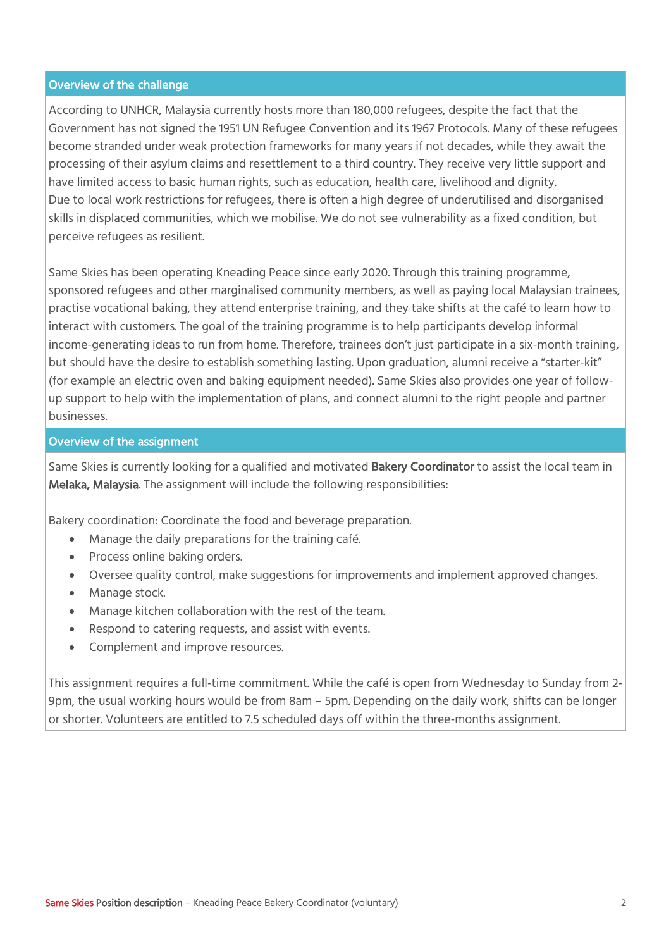## Overview of the challenge

According to UNHCR, Malaysia currently hosts more than 180,000 refugees, despite the fact that the Government has not signed the 1951 UN Refugee Convention and its 1967 Protocols. Many of these refugees become stranded under weak protection frameworks for many years if not decades, while they await the processing of their asylum claims and resettlement to a third country. They receive very little support and have limited access to basic human rights, such as education, health care, livelihood and dignity. Due to local work restrictions for refugees, there is often a high degree of underutilised and disorganised skills in displaced communities, which we mobilise. We do not see vulnerability as a fixed condition, but perceive refugees as resilient.

Same Skies has been operating Kneading Peace since early 2020. Through this training programme, sponsored refugees and other marginalised community members, as well as paying local Malaysian trainees, practise vocational baking, they attend enterprise training, and they take shifts at the café to learn how to interact with customers. The goal of the training programme is to help participants develop informal income-generating ideas to run from home. Therefore, trainees don't just participate in a six-month training, but should have the desire to establish something lasting. Upon graduation, alumni receive a "starter-kit" (for example an electric oven and baking equipment needed). Same Skies also provides one year of followup support to help with the implementation of plans, and connect alumni to the right people and partner businesses.

#### Overview of the assignment

Same Skies is currently looking for a qualified and motivated **Bakery Coordinator** to assist the local team in Melaka, Malaysia. The assignment will include the following responsibilities:

Bakery coordination: Coordinate the food and beverage preparation.

- Manage the daily preparations for the training café.
- Process online baking orders.
- Oversee quality control, make suggestions for improvements and implement approved changes.
- Manage stock.
- Manage kitchen collaboration with the rest of the team.
- Respond to catering requests, and assist with events.
- Complement and improve resources.

This assignment requires a full-time commitment. While the café is open from Wednesday to Sunday from 2- 9pm, the usual working hours would be from 8am – 5pm. Depending on the daily work, shifts can be longer or shorter. Volunteers are entitled to 7.5 scheduled days off within the three-months assignment.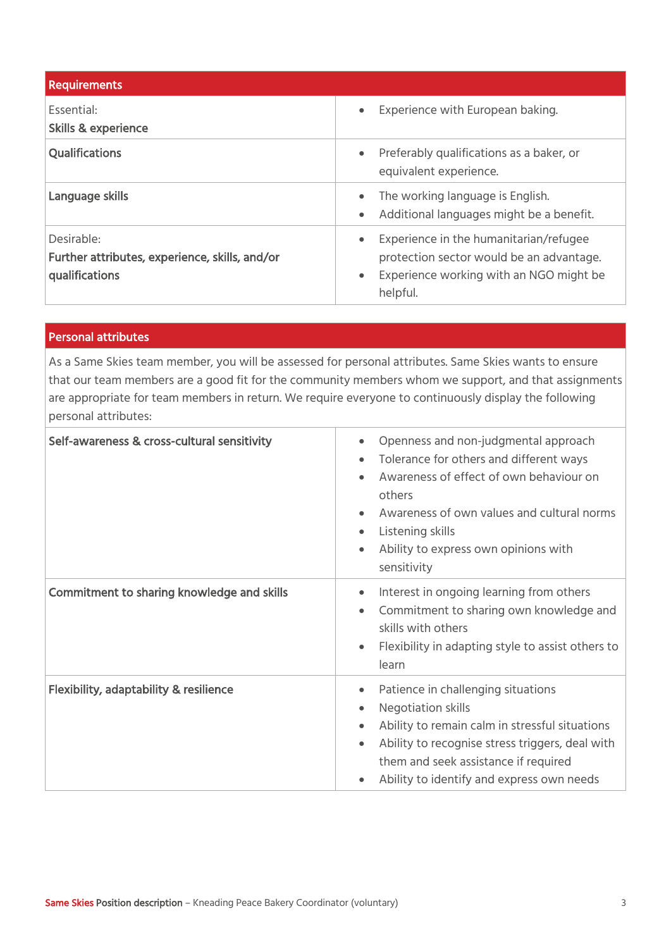| <b>Requirements</b>                                                            |                                                                                                                                                                     |
|--------------------------------------------------------------------------------|---------------------------------------------------------------------------------------------------------------------------------------------------------------------|
| Essential:<br><b>Skills &amp; experience</b>                                   | Experience with European baking.<br>$\bullet$                                                                                                                       |
| <b>Qualifications</b>                                                          | Preferably qualifications as a baker, or<br>$\bullet$<br>equivalent experience.                                                                                     |
| Language skills                                                                | The working language is English.<br>$\bullet$<br>Additional languages might be a benefit.<br>$\bullet$                                                              |
| Desirable:<br>Further attributes, experience, skills, and/or<br>qualifications | Experience in the humanitarian/refugee<br>$\bullet$<br>protection sector would be an advantage.<br>Experience working with an NGO might be<br>$\bullet$<br>helpful. |

## Personal attributes

As a Same Skies team member, you will be assessed for personal attributes. Same Skies wants to ensure that our team members are a good fit for the community members whom we support, and that assignments are appropriate for team members in return. We require everyone to continuously display the following personal attributes:

| Self-awareness & cross-cultural sensitivity       | Openness and non-judgmental approach<br>Tolerance for others and different ways<br>Awareness of effect of own behaviour on<br>others<br>Awareness of own values and cultural norms<br>Listening skills<br>Ability to express own opinions with<br>sensitivity |
|---------------------------------------------------|---------------------------------------------------------------------------------------------------------------------------------------------------------------------------------------------------------------------------------------------------------------|
| Commitment to sharing knowledge and skills        | Interest in ongoing learning from others<br>Commitment to sharing own knowledge and<br>skills with others<br>Flexibility in adapting style to assist others to<br>learn                                                                                       |
| <b>Flexibility, adaptability &amp; resilience</b> | Patience in challenging situations<br>Negotiation skills<br>Ability to remain calm in stressful situations<br>Ability to recognise stress triggers, deal with<br>them and seek assistance if required<br>Ability to identify and express own needs            |